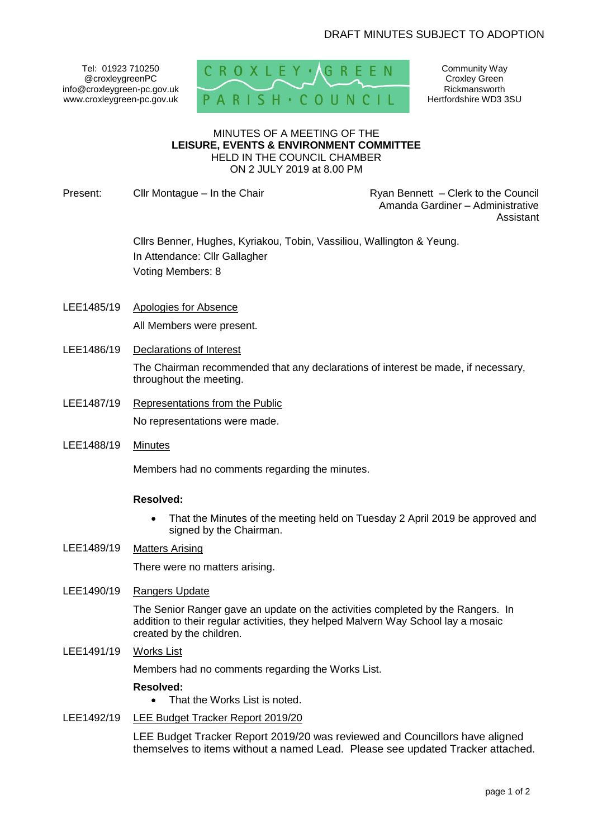Tel: 01923 710250 @croxleygreenPC info@croxleygreen-pc.gov.uk www.croxleygreen-pc.gov.uk



Community Way Croxley Green Rickmansworth Hertfordshire WD3 3SU

#### MINUTES OF A MEETING OF THE **LEISURE, EVENTS & ENVIRONMENT COMMITTEE** HELD IN THE COUNCIL CHAMBER ON 2 JULY 2019 at 8.00 PM

Present: Clir Montague – In the Chair **Reserve Lines and Ryan Bennett** – Clerk to the Council

Amanda Gardiner – Administrative Assistant

Cllrs Benner, Hughes, Kyriakou, Tobin, Vassiliou, Wallington & Yeung. In Attendance: Cllr Gallagher Voting Members: 8

- LEE1485/19 Apologies for Absence All Members were present.
- LEE1486/19 Declarations of Interest

The Chairman recommended that any declarations of interest be made, if necessary, throughout the meeting.

- LEE1487/19 Representations from the Public No representations were made.
- LEE1488/19 Minutes

Members had no comments regarding the minutes.

## **Resolved:**

- That the Minutes of the meeting held on Tuesday 2 April 2019 be approved and signed by the Chairman.
- LEE1489/19 Matters Arising

There were no matters arising.

LEE1490/19 Rangers Update

The Senior Ranger gave an update on the activities completed by the Rangers. In addition to their regular activities, they helped Malvern Way School lay a mosaic created by the children.

LEE1491/19 Works List

Members had no comments regarding the Works List.

## **Resolved:**

- That the Works List is noted.
- LEE1492/19 LEE Budget Tracker Report 2019/20

LEE Budget Tracker Report 2019/20 was reviewed and Councillors have aligned themselves to items without a named Lead. Please see updated Tracker attached.